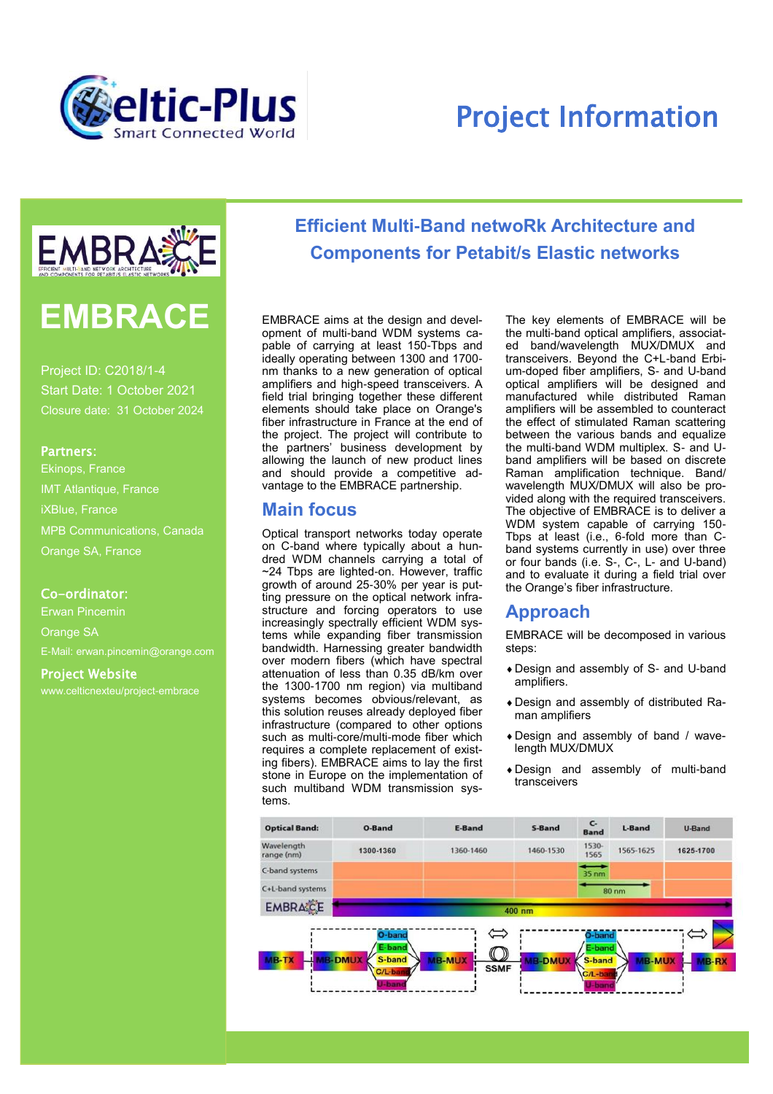

# Project Information



# **EMBRACE**

Project ID: C2018/1-4 Start Date: 1 October 2021 Closure date: 31 October 2024

#### Partners:

Ekinops, France iXBlue, France MPB Communications, Canada Orange SA, France

#### Co-ordinator:

Erwan Pincemin Orange SA E-Mail: erwan.pincemin@orange.com

#### Project Website

www.celticnexteu/project-embrace

# **Efficient Multi-Band netwoRk Architecture and Components for Petabit/s Elastic networks**

EMBRACE aims at the design and development of multi-band WDM systems capable of carrying at least 150-Tbps and ideally operating between 1300 and 1700 nm thanks to a new generation of optical amplifiers and high-speed transceivers. A field trial bringing together these different elements should take place on Orange's fiber infrastructure in France at the end of the project. The project will contribute to the partners' business development by allowing the launch of new product lines and should provide a competitive advantage to the EMBRACE partnership.

## **Main focus**

Optical transport networks today operate on C-band where typically about a hundred WDM channels carrying a total of ~24 Tbps are lighted-on. However, traffic growth of around 25-30% per year is putting pressure on the optical network infrastructure and forcing operators to use increasingly spectrally efficient WDM systems while expanding fiber transmission bandwidth. Harnessing greater bandwidth over modern fibers (which have spectral attenuation of less than 0.35 dB/km over the 1300-1700 nm region) via multiband systems becomes obvious/relevant, as this solution reuses already deployed fiber infrastructure (compared to other options such as multi-core/multi-mode fiber which requires a complete replacement of existing fibers). EMBRACE aims to lay the first stone in Europe on the implementation of such multiband WDM transmission systems.

The key elements of EMBRACE will be the multi-band optical amplifiers, associated band/wavelength MUX/DMUX and transceivers. Beyond the C+L-band Erbium-doped fiber amplifiers, S- and U-band optical amplifiers will be designed and manufactured while distributed Raman amplifiers will be assembled to counteract the effect of stimulated Raman scattering between the various bands and equalize the multi-band WDM multiplex. S- and Uband amplifiers will be based on discrete Raman amplification technique. Band/ wavelength MUX/DMUX will also be provided along with the required transceivers. The objective of EMBRACE is to deliver a WDM system capable of carrying 150- Tbps at least (i.e., 6-fold more than Cband systems currently in use) over three or four bands (i.e. S-, C-, L- and U-band) and to evaluate it during a field trial over the Orange's fiber infrastructure.

### **Approach**

EMBRACE will be decomposed in various steps:

- Design and assembly of S- and U-band amplifiers.
- Design and assembly of distributed Raman amplifiers
- Design and assembly of band / wavelength MUX/DMUX
- Design and assembly of multi-band transceivers